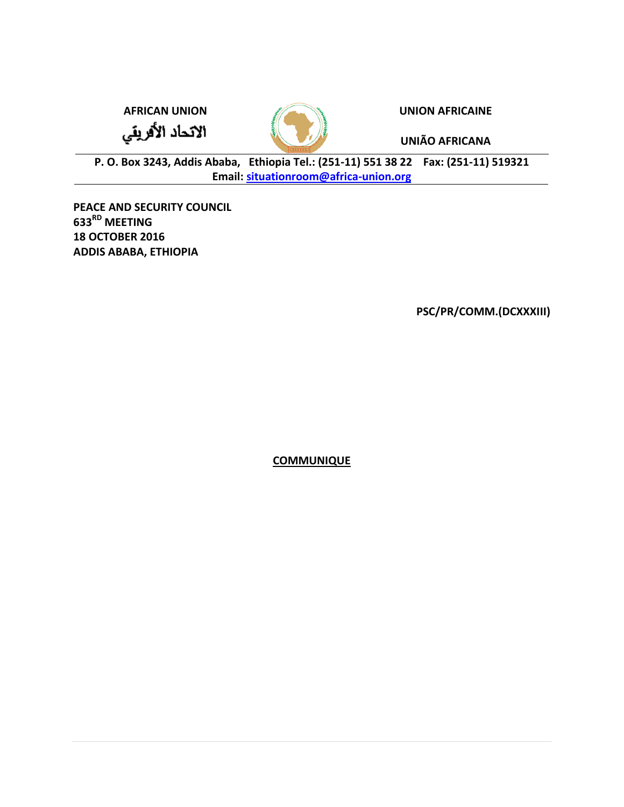**AFRICAN UNION UNION AFRICAINE**

الاتحاد الأفريقي



**UNIÃO AFRICANA**

**P. O. Box 3243, Addis Ababa, Ethiopia Tel.: (251-11) 551 38 22 Fax: (251-11) 519321 Email: [situationroom@africa-union.org](mailto:situationroom@africa-union.org)**

**PEACE AND SECURITY COUNCIL 633RD MEETING 18 OCTOBER 2016 ADDIS ABABA, ETHIOPIA**

**PSC/PR/COMM.(DCXXXIII)**

**COMMUNIQUE**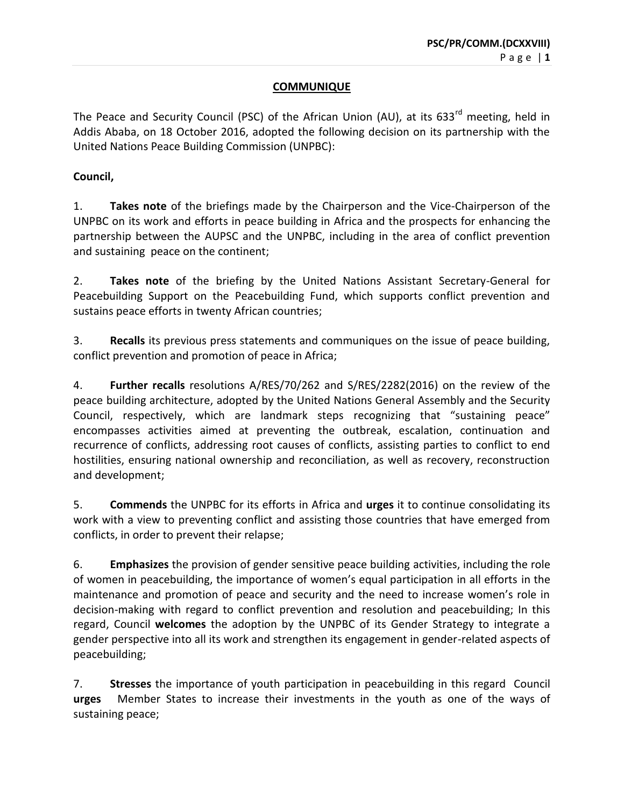## **COMMUNIQUE**

The Peace and Security Council (PSC) of the African Union (AU), at its  $633<sup>rd</sup>$  meeting, held in Addis Ababa, on 18 October 2016, adopted the following decision on its partnership with the United Nations Peace Building Commission (UNPBC):

## **Council,**

1. **Takes note** of the briefings made by the Chairperson and the Vice-Chairperson of the UNPBC on its work and efforts in peace building in Africa and the prospects for enhancing the partnership between the AUPSC and the UNPBC, including in the area of conflict prevention and sustaining peace on the continent;

2. **Takes note** of the briefing by the United Nations Assistant Secretary-General for Peacebuilding Support on the Peacebuilding Fund, which supports conflict prevention and sustains peace efforts in twenty African countries;

3. **Recalls** its previous press statements and communiques on the issue of peace building, conflict prevention and promotion of peace in Africa;

4. **Further recalls** resolutions A/RES/70/262 and S/RES/2282(2016) on the review of the peace building architecture, adopted by the United Nations General Assembly and the Security Council, respectively, which are landmark steps recognizing that "sustaining peace" encompasses activities aimed at preventing the outbreak, escalation, continuation and recurrence of conflicts, addressing root causes of conflicts, assisting parties to conflict to end hostilities, ensuring national ownership and reconciliation, as well as recovery, reconstruction and development;

5. **Commends** the UNPBC for its efforts in Africa and **urges** it to continue consolidating its work with a view to preventing conflict and assisting those countries that have emerged from conflicts, in order to prevent their relapse;

6. **Emphasizes** the provision of gender sensitive peace building activities, including the role of women in peacebuilding, the importance of women's equal participation in all efforts in the maintenance and promotion of peace and security and the need to increase women's role in decision-making with regard to conflict prevention and resolution and peacebuilding; In this regard, Council **welcomes** the adoption by the UNPBC of its Gender Strategy to integrate a gender perspective into all its work and strengthen its engagement in gender-related aspects of peacebuilding;

7. **Stresses** the importance of youth participation in peacebuilding in this regard Council **urges** Member States to increase their investments in the youth as one of the ways of sustaining peace;